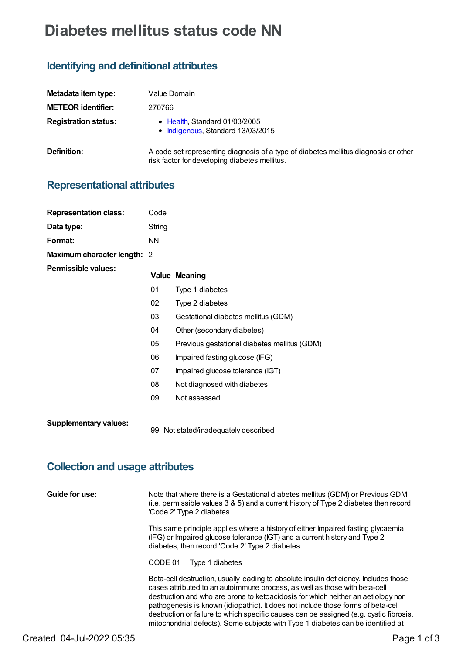# **Diabetes mellitus status code NN**

## **Identifying and definitional attributes**

| Metadata item type:         | Value Domain                                                                                                                         |
|-----------------------------|--------------------------------------------------------------------------------------------------------------------------------------|
| <b>METEOR identifier:</b>   | 270766                                                                                                                               |
| <b>Registration status:</b> | • Health, Standard 01/03/2005<br>• Indigenous, Standard 13/03/2015                                                                   |
| Definition:                 | A code set representing diagnosis of a type of diabetes mellitus diagnosis or other<br>risk factor for developing diabetes mellitus. |

### **Representational attributes**

| <b>Representation class:</b> | Code      |                                              |
|------------------------------|-----------|----------------------------------------------|
| Data type:                   | String    |                                              |
| Format:                      | <b>NN</b> |                                              |
| Maximum character length: 2  |           |                                              |
| Permissible values:          |           | <b>Value Meaning</b>                         |
|                              | 01        | Type 1 diabetes                              |
|                              | 02        | Type 2 diabetes                              |
|                              | 03        | Gestational diabetes mellitus (GDM)          |
|                              | 04        | Other (secondary diabetes)                   |
|                              | 05        | Previous gestational diabetes mellitus (GDM) |
|                              | 06        | Impaired fasting glucose (IFG)               |
|                              | 07        | Impaired glucose tolerance (IGT)             |
|                              | 08        | Not diagnosed with diabetes                  |
|                              | 09        | Not assessed                                 |
|                              |           |                                              |

**Supplementary values:**

99 Not stated/inadequately described

### **Collection and usage attributes**

| Guide for use: | Note that where there is a Gestational diabetes mellitus (GDM) or Previous GDM<br>(i.e. permissible values $3 \& 5$ ) and a current history of Type 2 diabetes then record<br>'Code 2' Type 2 diabetes.                                                                                                                                                                                                                               |
|----------------|---------------------------------------------------------------------------------------------------------------------------------------------------------------------------------------------------------------------------------------------------------------------------------------------------------------------------------------------------------------------------------------------------------------------------------------|
|                | This same principle applies where a history of either Impaired fasting glycaemia<br>(IFG) or Impaired glucose tolerance (IGT) and a current history and Type 2<br>diabetes, then record 'Code 2' Type 2 diabetes.                                                                                                                                                                                                                     |
|                | CODE 01<br>Type 1 diabetes                                                                                                                                                                                                                                                                                                                                                                                                            |
|                | Beta-cell destruction, usually leading to absolute insulin deficiency. Includes those<br>cases attributed to an autoimmune process, as well as those with beta-cell<br>destruction and who are prone to ketoacidosis for which neither an aetiology nor<br>pathogenesis is known (idiopathic). It does not include those forms of beta-cell<br>destruction or failure to which specific causes can be assigned (e.g. cystic fibrosis, |

mitochondrial defects). Some subjects with Type 1 diabetes can be identified at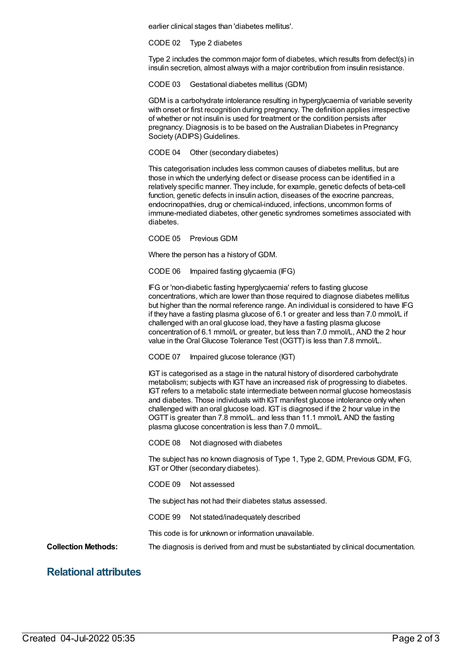earlier clinical stages than 'diabetes mellitus'.

CODE 02 Type 2 diabetes

Type 2 includes the common major form of diabetes, which results from defect(s) in insulin secretion, almost always with a major contribution from insulin resistance.

CODE 03 Gestational diabetes mellitus (GDM)

GDM is a carbohydrate intolerance resulting in hyperglycaemia of variable severity with onset or first recognition during pregnancy. The definition applies irrespective of whether or not insulin is used for treatment or the condition persists after pregnancy. Diagnosis is to be based on the Australian Diabetes in Pregnancy Society (ADIPS) Guidelines.

CODE 04 Other (secondary diabetes)

This categorisation includes less common causes of diabetes mellitus, but are those in which the underlying defect or disease process can be identified in a relatively specific manner. They include, for example, genetic defects of beta-cell function, genetic defects in insulin action, diseases of the exocrine pancreas, endocrinopathies, drug or chemical-induced, infections, uncommon forms of immune-mediated diabetes, other genetic syndromes sometimes associated with diabetes.

CODE 05 Previous GDM

Where the person has a history of GDM.

CODE 06 Impaired fasting glycaemia (IFG)

IFG or 'non-diabetic fasting hyperglycaemia' refers to fasting glucose concentrations, which are lower than those required to diagnose diabetes mellitus but higher than the normal reference range. An individual is considered to have IFG if they have a fasting plasma glucose of 6.1 or greater and less than 7.0 mmol/L if challenged with an oral glucose load, they have a fasting plasma glucose concentration of 6.1 mmol/L or greater, but less than 7.0 mmol/L, AND the 2 hour value in the Oral Glucose Tolerance Test (OGTT) is less than 7.8 mmol/L.

CODE 07 Impaired glucose tolerance (IGT)

IGT is categorised as a stage in the natural history of disordered carbohydrate metabolism; subjects with IGT have an increased risk of progressing to diabetes. IGT refers to a metabolic state intermediate between normal glucose homeostasis and diabetes. Those individuals with IGT manifest glucose intolerance only when challenged with an oral glucose load. IGT is diagnosed if the 2 hour value in the OGTT is greater than 7.8 mmol/L. and less than 11.1 mmol/L AND the fasting plasma glucose concentration is less than 7.0 mmol/L.

CODE 08 Not diagnosed with diabetes

The subject has no known diagnosis of Type 1, Type 2, GDM, Previous GDM, IFG, IGT or Other (secondary diabetes).

CODE 09 Not assessed

The subject has not had their diabetes status assessed.

CODE 99 Not stated/inadequately described

This code is for unknown or information unavailable.

**Collection Methods:** The diagnosis is derived from and must be substantiated by clinical documentation.

#### **Relational attributes**